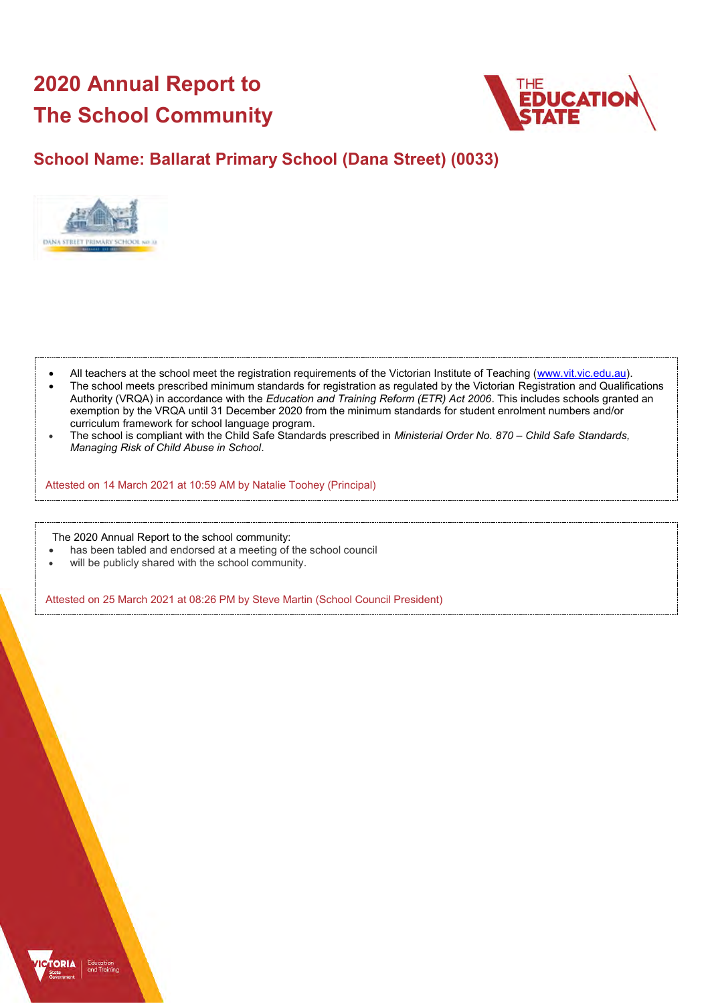# **2020 Annual Report to The School Community**



## **School Name: Ballarat Primary School (Dana Street) (0033)**



- All teachers at the school meet the registration requirements of the Victorian Institute of Teaching [\(www.vit.vic.edu.au\)](https://www.vit.vic.edu.au/).
- The school meets prescribed minimum standards for registration as regulated by the Victorian Registration and Qualifications Authority (VRQA) in accordance with the *Education and Training Reform (ETR) Act 2006*. This includes schools granted an exemption by the VRQA until 31 December 2020 from the minimum standards for student enrolment numbers and/or curriculum framework for school language program.
- The school is compliant with the Child Safe Standards prescribed in *Ministerial Order No. 870 – Child Safe Standards, Managing Risk of Child Abuse in School*.

Attested on 14 March 2021 at 10:59 AM by Natalie Toohey (Principal)

The 2020 Annual Report to the school community:

- has been tabled and endorsed at a meeting of the school council
- will be publicly shared with the school community.

Attested on 25 March 2021 at 08:26 PM by Steve Martin (School Council President)

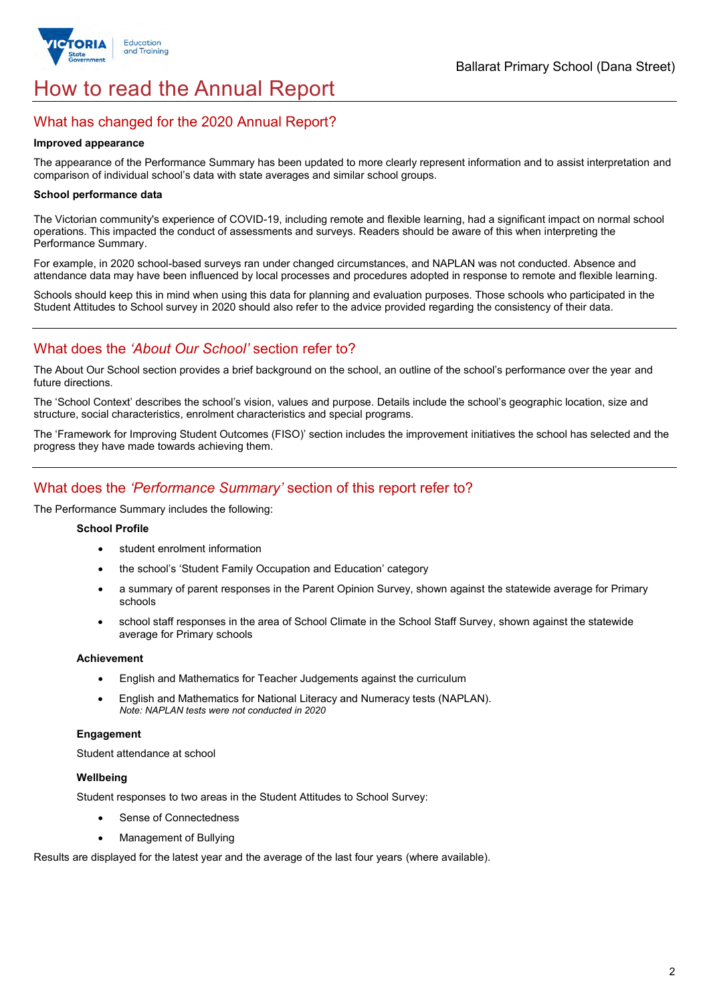

# How to read the Annual Report

## What has changed for the 2020 Annual Report?

#### **Improved appearance**

The appearance of the Performance Summary has been updated to more clearly represent information and to assist interpretation and comparison of individual school's data with state averages and similar school groups.

#### **School performance data**

The Victorian community's experience of COVID-19, including remote and flexible learning, had a significant impact on normal school operations. This impacted the conduct of assessments and surveys. Readers should be aware of this when interpreting the Performance Summary.

For example, in 2020 school-based surveys ran under changed circumstances, and NAPLAN was not conducted. Absence and attendance data may have been influenced by local processes and procedures adopted in response to remote and flexible learning.

Schools should keep this in mind when using this data for planning and evaluation purposes. Those schools who participated in the Student Attitudes to School survey in 2020 should also refer to the advice provided regarding the consistency of their data.

## What does the *'About Our School'* section refer to?

The About Our School section provides a brief background on the school, an outline of the school's performance over the year and future directions.

The 'School Context' describes the school's vision, values and purpose. Details include the school's geographic location, size and structure, social characteristics, enrolment characteristics and special programs.

The 'Framework for Improving Student Outcomes (FISO)' section includes the improvement initiatives the school has selected and the progress they have made towards achieving them.

## What does the *'Performance Summary'* section of this report refer to?

The Performance Summary includes the following:

#### **School Profile**

- student enrolment information
- the school's 'Student Family Occupation and Education' category
- a summary of parent responses in the Parent Opinion Survey, shown against the statewide average for Primary schools
- school staff responses in the area of School Climate in the School Staff Survey, shown against the statewide average for Primary schools

#### **Achievement**

- English and Mathematics for Teacher Judgements against the curriculum
- English and Mathematics for National Literacy and Numeracy tests (NAPLAN). *Note: NAPLAN tests were not conducted in 2020*

### **Engagement**

Student attendance at school

### **Wellbeing**

Student responses to two areas in the Student Attitudes to School Survey:

- Sense of Connectedness
- Management of Bullying

Results are displayed for the latest year and the average of the last four years (where available).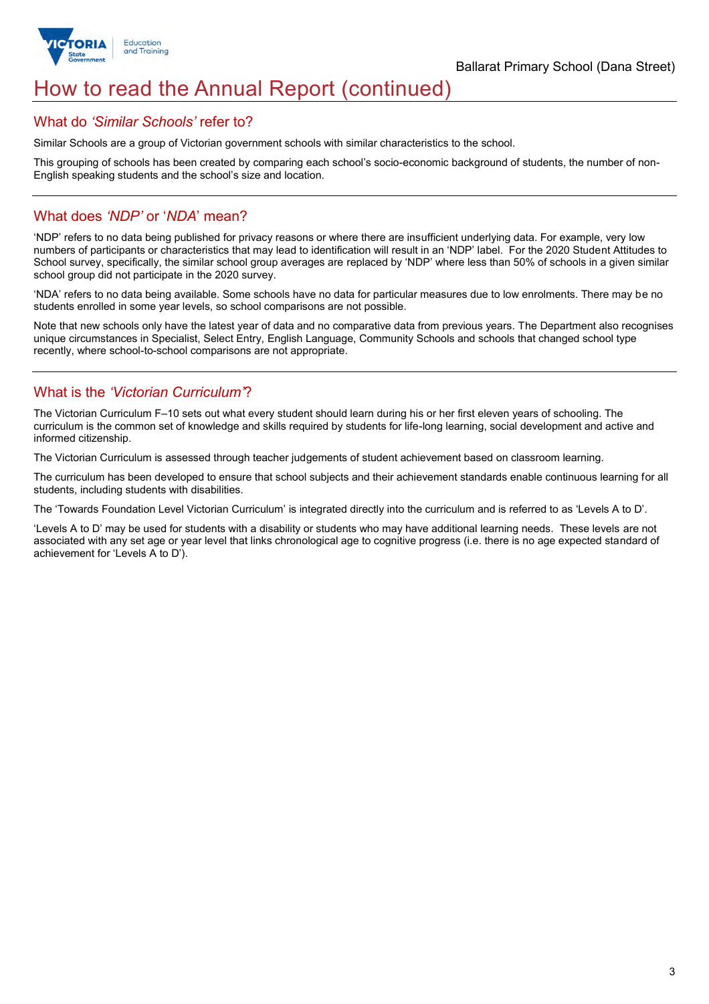

# How to read the Annual Report (continued)

## What do *'Similar Schools'* refer to?

Similar Schools are a group of Victorian government schools with similar characteristics to the school.

This grouping of schools has been created by comparing each school's socio-economic background of students, the number of non-English speaking students and the school's size and location.

## What does *'NDP'* or '*NDA*' mean?

'NDP' refers to no data being published for privacy reasons or where there are insufficient underlying data. For example, very low numbers of participants or characteristics that may lead to identification will result in an 'NDP' label. For the 2020 Student Attitudes to School survey, specifically, the similar school group averages are replaced by 'NDP' where less than 50% of schools in a given similar school group did not participate in the 2020 survey.

'NDA' refers to no data being available. Some schools have no data for particular measures due to low enrolments. There may be no students enrolled in some year levels, so school comparisons are not possible.

Note that new schools only have the latest year of data and no comparative data from previous years. The Department also recognises unique circumstances in Specialist, Select Entry, English Language, Community Schools and schools that changed school type recently, where school-to-school comparisons are not appropriate.

## What is the *'Victorian Curriculum'*?

The Victorian Curriculum F–10 sets out what every student should learn during his or her first eleven years of schooling. The curriculum is the common set of knowledge and skills required by students for life-long learning, social development and active and informed citizenship.

The Victorian Curriculum is assessed through teacher judgements of student achievement based on classroom learning.

The curriculum has been developed to ensure that school subjects and their achievement standards enable continuous learning for all students, including students with disabilities.

The 'Towards Foundation Level Victorian Curriculum' is integrated directly into the curriculum and is referred to as 'Levels A to D'.

'Levels A to D' may be used for students with a disability or students who may have additional learning needs. These levels are not associated with any set age or year level that links chronological age to cognitive progress (i.e. there is no age expected standard of achievement for 'Levels A to D').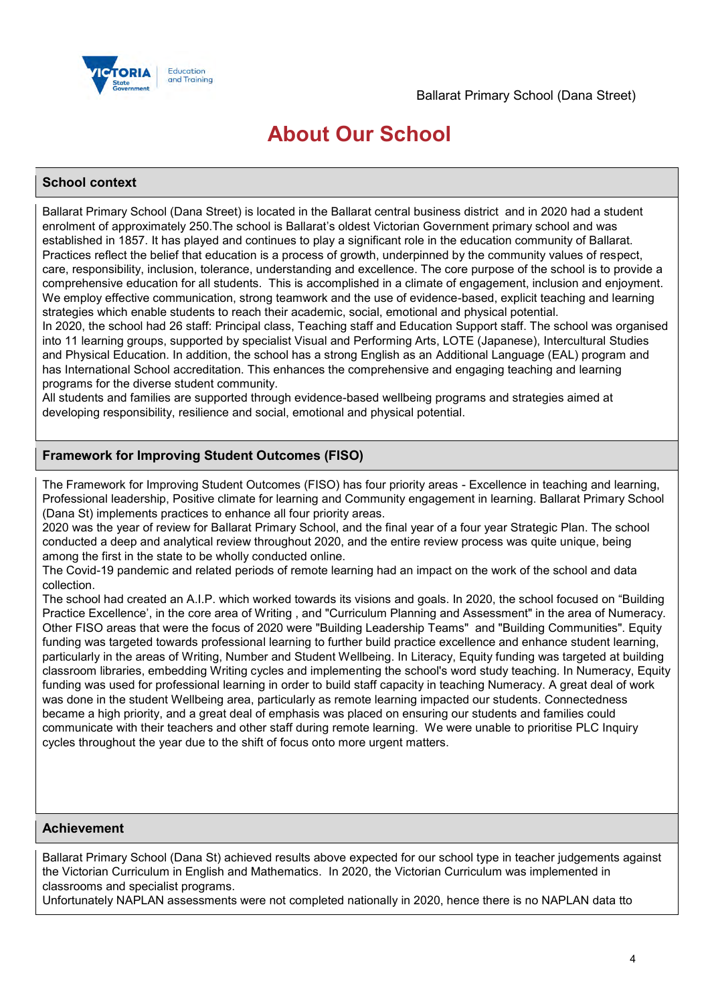

# **About Our School**

## **School context**

Ballarat Primary School (Dana Street) is located in the Ballarat central business district and in 2020 had a student enrolment of approximately 250.The school is Ballarat's oldest Victorian Government primary school and was established in 1857. It has played and continues to play a significant role in the education community of Ballarat. Practices reflect the belief that education is a process of growth, underpinned by the community values of respect, care, responsibility, inclusion, tolerance, understanding and excellence. The core purpose of the school is to provide a comprehensive education for all students. This is accomplished in a climate of engagement, inclusion and enjoyment. We employ effective communication, strong teamwork and the use of evidence-based, explicit teaching and learning strategies which enable students to reach their academic, social, emotional and physical potential.

In 2020, the school had 26 staff: Principal class, Teaching staff and Education Support staff. The school was organised into 11 learning groups, supported by specialist Visual and Performing Arts, LOTE (Japanese), Intercultural Studies and Physical Education. In addition, the school has a strong English as an Additional Language (EAL) program and has International School accreditation. This enhances the comprehensive and engaging teaching and learning programs for the diverse student community.

All students and families are supported through evidence-based wellbeing programs and strategies aimed at developing responsibility, resilience and social, emotional and physical potential.

## **Framework for Improving Student Outcomes (FISO)**

The Framework for Improving Student Outcomes (FISO) has four priority areas - Excellence in teaching and learning, Professional leadership, Positive climate for learning and Community engagement in learning. Ballarat Primary School (Dana St) implements practices to enhance all four priority areas.

2020 was the year of review for Ballarat Primary School, and the final year of a four year Strategic Plan. The school conducted a deep and analytical review throughout 2020, and the entire review process was quite unique, being among the first in the state to be wholly conducted online.

The Covid-19 pandemic and related periods of remote learning had an impact on the work of the school and data collection.

The school had created an A.I.P. which worked towards its visions and goals. In 2020, the school focused on "Building Practice Excellence', in the core area of Writing , and "Curriculum Planning and Assessment" in the area of Numeracy. Other FISO areas that were the focus of 2020 were "Building Leadership Teams" and "Building Communities". Equity funding was targeted towards professional learning to further build practice excellence and enhance student learning, particularly in the areas of Writing, Number and Student Wellbeing. In Literacy, Equity funding was targeted at building classroom libraries, embedding Writing cycles and implementing the school's word study teaching. In Numeracy, Equity funding was used for professional learning in order to build staff capacity in teaching Numeracy. A great deal of work was done in the student Wellbeing area, particularly as remote learning impacted our students. Connectedness became a high priority, and a great deal of emphasis was placed on ensuring our students and families could communicate with their teachers and other staff during remote learning. We were unable to prioritise PLC Inquiry cycles throughout the year due to the shift of focus onto more urgent matters.

## **Achievement**

Ballarat Primary School (Dana St) achieved results above expected for our school type in teacher judgements against the Victorian Curriculum in English and Mathematics. In 2020, the Victorian Curriculum was implemented in classrooms and specialist programs.

Unfortunately NAPLAN assessments were not completed nationally in 2020, hence there is no NAPLAN data tto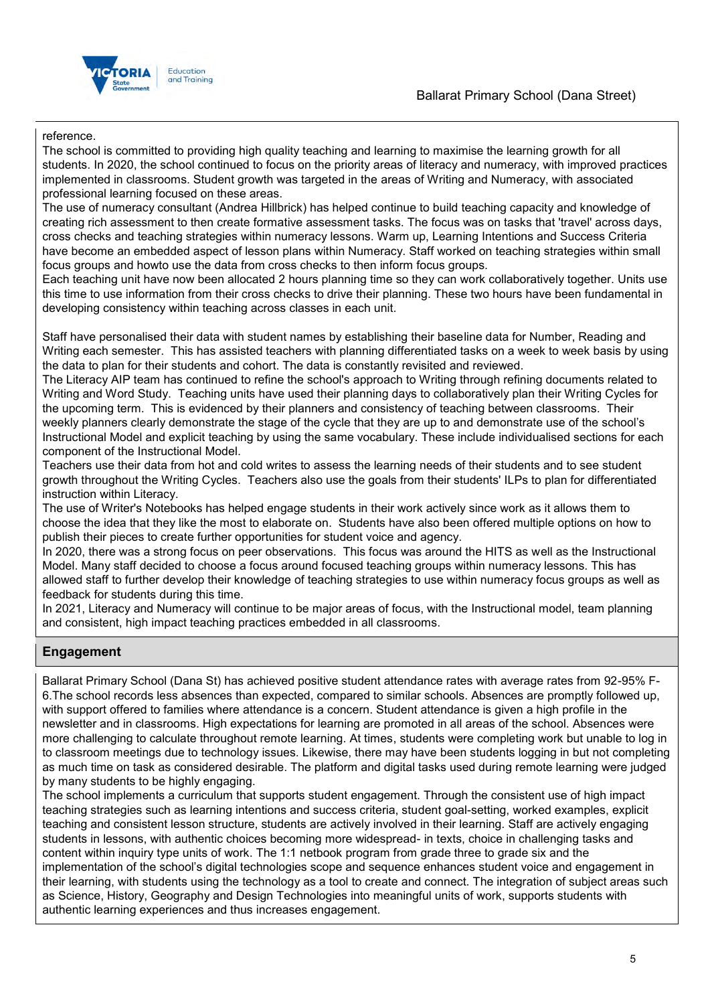## Ballarat Primary School (Dana Street)



### reference.

The school is committed to providing high quality teaching and learning to maximise the learning growth for all students. In 2020, the school continued to focus on the priority areas of literacy and numeracy, with improved practices implemented in classrooms. Student growth was targeted in the areas of Writing and Numeracy, with associated professional learning focused on these areas.

The use of numeracy consultant (Andrea Hillbrick) has helped continue to build teaching capacity and knowledge of creating rich assessment to then create formative assessment tasks. The focus was on tasks that 'travel' across days, cross checks and teaching strategies within numeracy lessons. Warm up, Learning Intentions and Success Criteria have become an embedded aspect of lesson plans within Numeracy. Staff worked on teaching strategies within small focus groups and howto use the data from cross checks to then inform focus groups.

Each teaching unit have now been allocated 2 hours planning time so they can work collaboratively together. Units use this time to use information from their cross checks to drive their planning. These two hours have been fundamental in developing consistency within teaching across classes in each unit.

Staff have personalised their data with student names by establishing their baseline data for Number, Reading and Writing each semester. This has assisted teachers with planning differentiated tasks on a week to week basis by using the data to plan for their students and cohort. The data is constantly revisited and reviewed.

The Literacy AIP team has continued to refine the school's approach to Writing through refining documents related to Writing and Word Study. Teaching units have used their planning days to collaboratively plan their Writing Cycles for the upcoming term. This is evidenced by their planners and consistency of teaching between classrooms. Their weekly planners clearly demonstrate the stage of the cycle that they are up to and demonstrate use of the school's Instructional Model and explicit teaching by using the same vocabulary. These include individualised sections for each component of the Instructional Model.

Teachers use their data from hot and cold writes to assess the learning needs of their students and to see student growth throughout the Writing Cycles. Teachers also use the goals from their students' ILPs to plan for differentiated instruction within Literacy.

The use of Writer's Notebooks has helped engage students in their work actively since work as it allows them to choose the idea that they like the most to elaborate on. Students have also been offered multiple options on how to publish their pieces to create further opportunities for student voice and agency.

In 2020, there was a strong focus on peer observations. This focus was around the HITS as well as the Instructional Model. Many staff decided to choose a focus around focused teaching groups within numeracy lessons. This has allowed staff to further develop their knowledge of teaching strategies to use within numeracy focus groups as well as feedback for students during this time.

In 2021, Literacy and Numeracy will continue to be major areas of focus, with the Instructional model, team planning and consistent, high impact teaching practices embedded in all classrooms.

## **Engagement**

Ballarat Primary School (Dana St) has achieved positive student attendance rates with average rates from 92-95% F-6.The school records less absences than expected, compared to similar schools. Absences are promptly followed up, with support offered to families where attendance is a concern. Student attendance is given a high profile in the newsletter and in classrooms. High expectations for learning are promoted in all areas of the school. Absences were more challenging to calculate throughout remote learning. At times, students were completing work but unable to log in to classroom meetings due to technology issues. Likewise, there may have been students logging in but not completing as much time on task as considered desirable. The platform and digital tasks used during remote learning were judged by many students to be highly engaging.

The school implements a curriculum that supports student engagement. Through the consistent use of high impact teaching strategies such as learning intentions and success criteria, student goal-setting, worked examples, explicit teaching and consistent lesson structure, students are actively involved in their learning. Staff are actively engaging students in lessons, with authentic choices becoming more widespread- in texts, choice in challenging tasks and content within inquiry type units of work. The 1:1 netbook program from grade three to grade six and the implementation of the school's digital technologies scope and sequence enhances student voice and engagement in their learning, with students using the technology as a tool to create and connect. The integration of subject areas such as Science, History, Geography and Design Technologies into meaningful units of work, supports students with authentic learning experiences and thus increases engagement.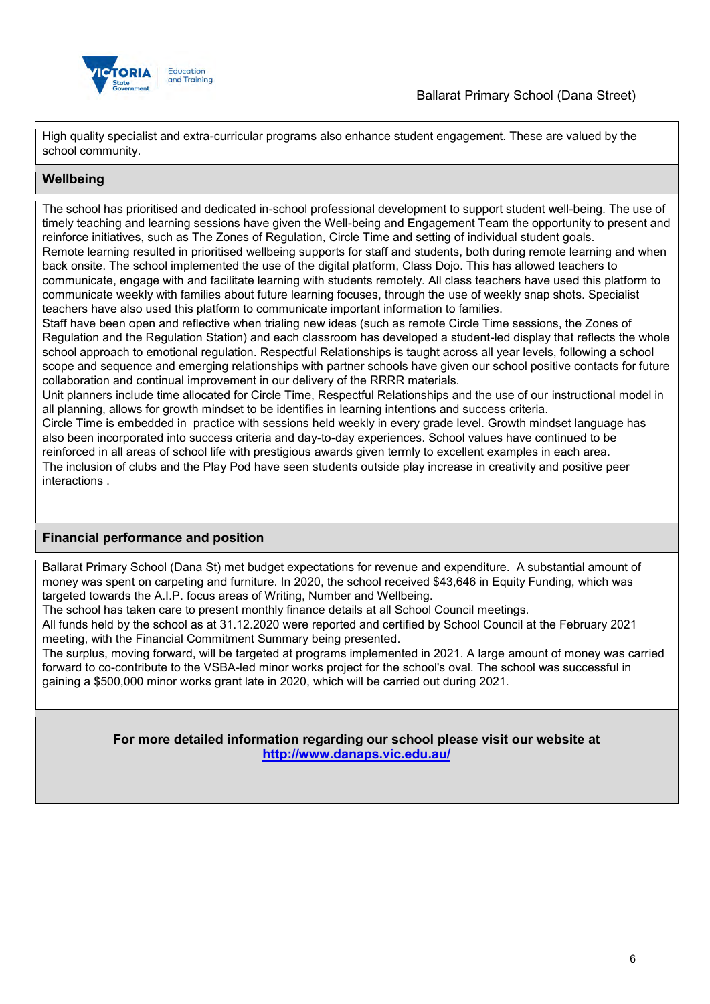

High quality specialist and extra-curricular programs also enhance student engagement. These are valued by the school community.

## **Wellbeing**

The school has prioritised and dedicated in-school professional development to support student well-being. The use of timely teaching and learning sessions have given the Well-being and Engagement Team the opportunity to present and reinforce initiatives, such as The Zones of Regulation, Circle Time and setting of individual student goals. Remote learning resulted in prioritised wellbeing supports for staff and students, both during remote learning and when back onsite. The school implemented the use of the digital platform, Class Dojo. This has allowed teachers to communicate, engage with and facilitate learning with students remotely. All class teachers have used this platform to communicate weekly with families about future learning focuses, through the use of weekly snap shots. Specialist teachers have also used this platform to communicate important information to families.

Staff have been open and reflective when trialing new ideas (such as remote Circle Time sessions, the Zones of Regulation and the Regulation Station) and each classroom has developed a student-led display that reflects the whole school approach to emotional regulation. Respectful Relationships is taught across all year levels, following a school scope and sequence and emerging relationships with partner schools have given our school positive contacts for future collaboration and continual improvement in our delivery of the RRRR materials.

Unit planners include time allocated for Circle Time, Respectful Relationships and the use of our instructional model in all planning, allows for growth mindset to be identifies in learning intentions and success criteria.

Circle Time is embedded in practice with sessions held weekly in every grade level. Growth mindset language has also been incorporated into success criteria and day-to-day experiences. School values have continued to be reinforced in all areas of school life with prestigious awards given termly to excellent examples in each area. The inclusion of clubs and the Play Pod have seen students outside play increase in creativity and positive peer interactions .

## **Financial performance and position**

Ballarat Primary School (Dana St) met budget expectations for revenue and expenditure. A substantial amount of money was spent on carpeting and furniture. In 2020, the school received \$43,646 in Equity Funding, which was targeted towards the A.I.P. focus areas of Writing, Number and Wellbeing.

The school has taken care to present monthly finance details at all School Council meetings.

All funds held by the school as at 31.12.2020 were reported and certified by School Council at the February 2021 meeting, with the Financial Commitment Summary being presented.

The surplus, moving forward, will be targeted at programs implemented in 2021. A large amount of money was carried forward to co-contribute to the VSBA-led minor works project for the school's oval. The school was successful in gaining a \$500,000 minor works grant late in 2020, which will be carried out during 2021.

> **For more detailed information regarding our school please visit our website at <http://www.danaps.vic.edu.au/>**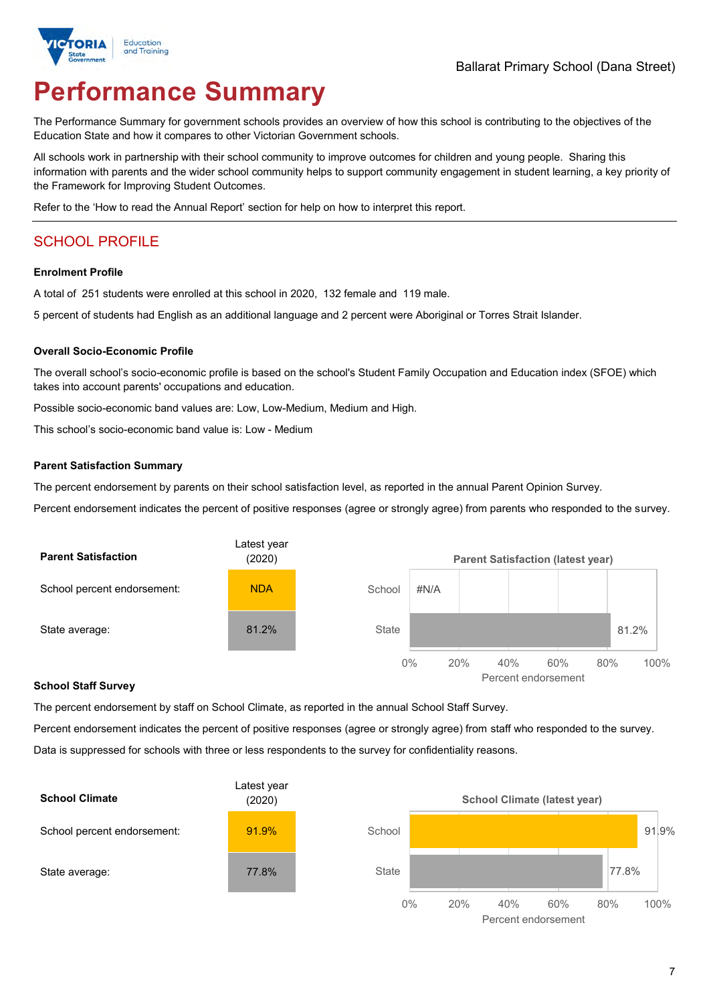

# **Performance Summary**

The Performance Summary for government schools provides an overview of how this school is contributing to the objectives of the Education State and how it compares to other Victorian Government schools.

All schools work in partnership with their school community to improve outcomes for children and young people. Sharing this information with parents and the wider school community helps to support community engagement in student learning, a key priority of the Framework for Improving Student Outcomes.

Refer to the 'How to read the Annual Report' section for help on how to interpret this report.

## SCHOOL PROFILE

#### **Enrolment Profile**

A total of 251 students were enrolled at this school in 2020, 132 female and 119 male.

5 percent of students had English as an additional language and 2 percent were Aboriginal or Torres Strait Islander.

#### **Overall Socio-Economic Profile**

The overall school's socio-economic profile is based on the school's Student Family Occupation and Education index (SFOE) which takes into account parents' occupations and education.

Possible socio-economic band values are: Low, Low-Medium, Medium and High.

This school's socio-economic band value is: Low - Medium

#### **Parent Satisfaction Summary**

The percent endorsement by parents on their school satisfaction level, as reported in the annual Parent Opinion Survey.

Percent endorsement indicates the percent of positive responses (agree or strongly agree) from parents who responded to the survey.



#### **School Staff Survey**

The percent endorsement by staff on School Climate, as reported in the annual School Staff Survey.

Percent endorsement indicates the percent of positive responses (agree or strongly agree) from staff who responded to the survey. Data is suppressed for schools with three or less respondents to the survey for confidentiality reasons.



Percent endorsement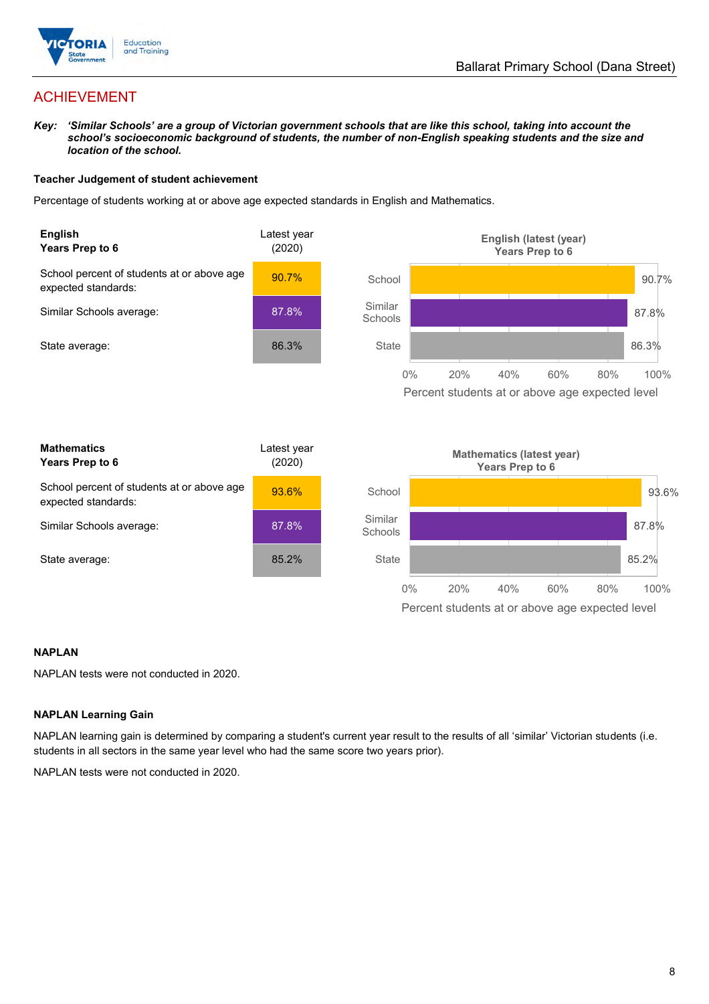

## ACHIEVEMENT

*Key: 'Similar Schools' are a group of Victorian government schools that are like this school, taking into account the school's socioeconomic background of students, the number of non-English speaking students and the size and location of the school.*

### **Teacher Judgement of student achievement**

Percentage of students working at or above age expected standards in English and Mathematics.



### **NAPLAN**

NAPLAN tests were not conducted in 2020.

### **NAPLAN Learning Gain**

NAPLAN learning gain is determined by comparing a student's current year result to the results of all 'similar' Victorian students (i.e. students in all sectors in the same year level who had the same score two years prior).

NAPLAN tests were not conducted in 2020.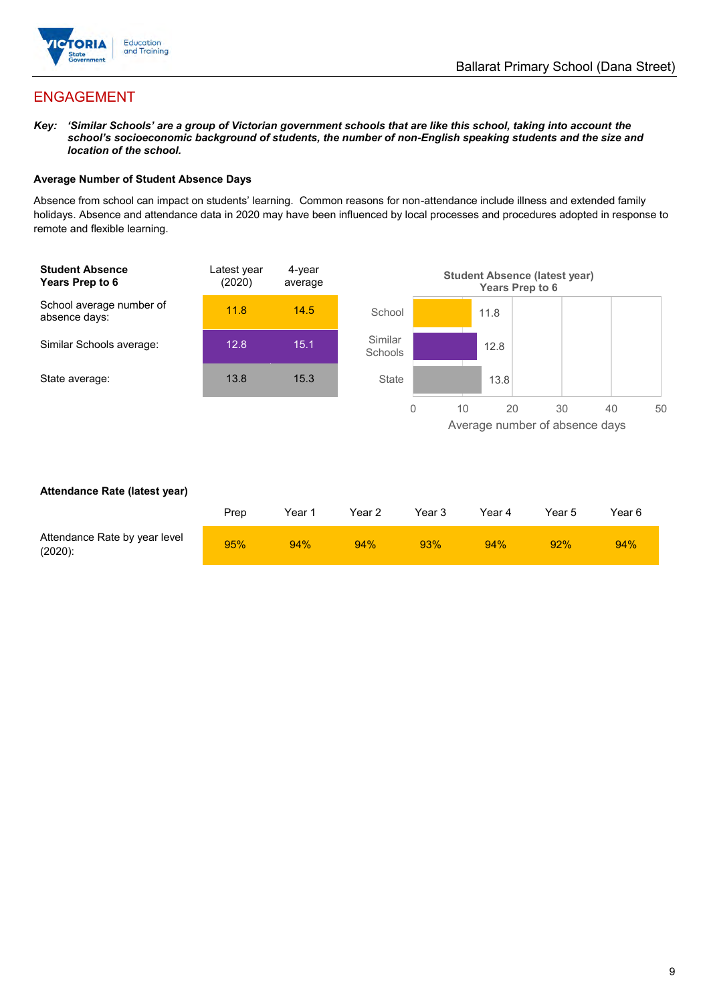

## ENGAGEMENT

*Key: 'Similar Schools' are a group of Victorian government schools that are like this school, taking into account the school's socioeconomic background of students, the number of non-English speaking students and the size and location of the school.*

### **Average Number of Student Absence Days**

Absence from school can impact on students' learning. Common reasons for non-attendance include illness and extended family holidays. Absence and attendance data in 2020 may have been influenced by local processes and procedures adopted in response to remote and flexible learning.



### **Attendance Rate (latest year)**

|                                             | Prep | Year 1 | Year 2 | Year 3 | Year 4 | Year 5 | Year 6 |
|---------------------------------------------|------|--------|--------|--------|--------|--------|--------|
| Attendance Rate by year level<br>$(2020)$ : | 95%  | 94%    | 94%    | 93%    | 94%    | 92%    | 94%    |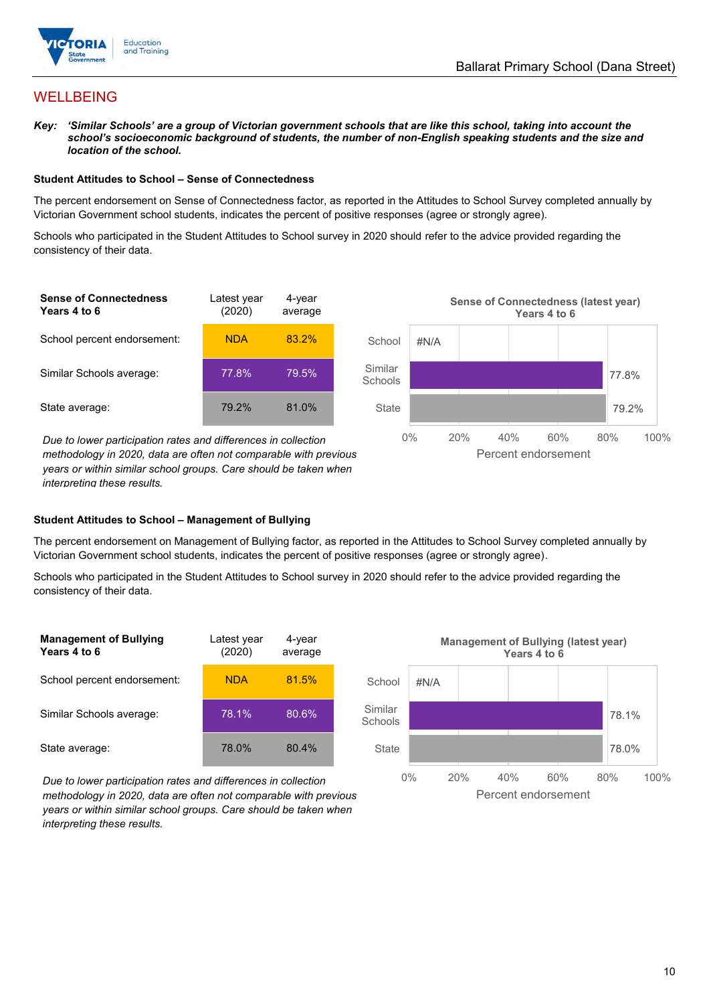

## WELLBEING

*Key: 'Similar Schools' are a group of Victorian government schools that are like this school, taking into account the school's socioeconomic background of students, the number of non-English speaking students and the size and location of the school.*

#### **Student Attitudes to School – Sense of Connectedness**

The percent endorsement on Sense of Connectedness factor, as reported in the Attitudes to School Survey completed annually by Victorian Government school students, indicates the percent of positive responses (agree or strongly agree).

Schools who participated in the Student Attitudes to School survey in 2020 should refer to the advice provided regarding the consistency of their data.



*methodology in 2020, data are often not comparable with previous years or within similar school groups. Care should be taken when interpreting these results.*

### **Student Attitudes to School – Management of Bullying**

The percent endorsement on Management of Bullying factor, as reported in the Attitudes to School Survey completed annually by Victorian Government school students, indicates the percent of positive responses (agree or strongly agree).

Schools who participated in the Student Attitudes to School survey in 2020 should refer to the advice provided regarding the consistency of their data.



*Due to lower participation rates and differences in collection methodology in 2020, data are often not comparable with previous years or within similar school groups. Care should be taken when interpreting these results.*

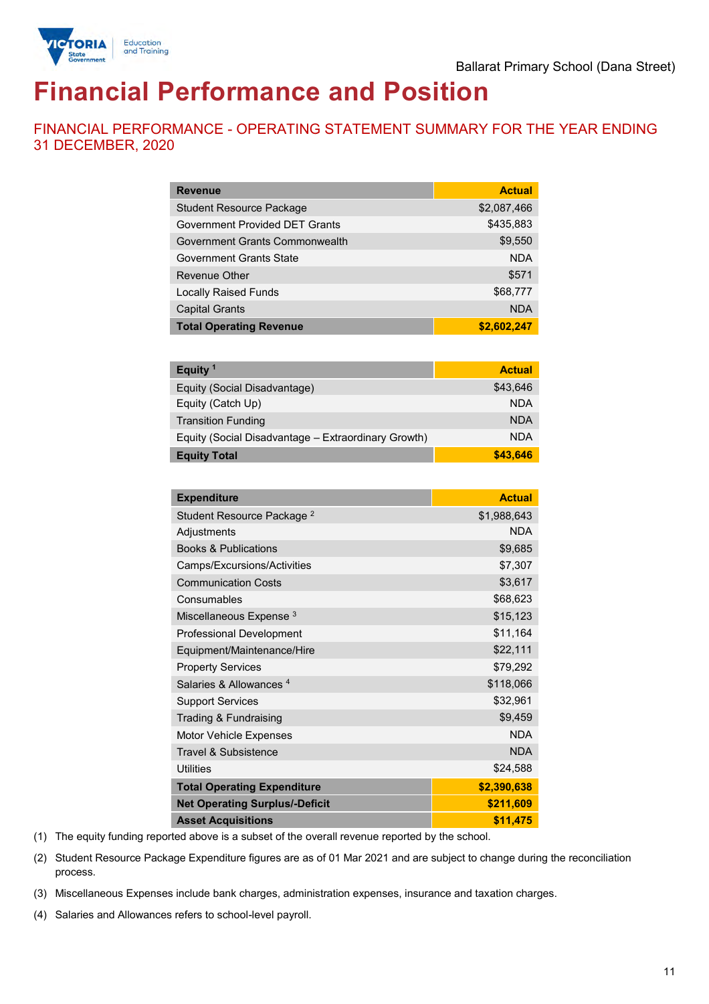

# **Financial Performance and Position**

FINANCIAL PERFORMANCE - OPERATING STATEMENT SUMMARY FOR THE YEAR ENDING 31 DECEMBER, 2020

| <b>Revenue</b>                  | <b>Actual</b> |
|---------------------------------|---------------|
| <b>Student Resource Package</b> | \$2,087,466   |
| Government Provided DET Grants  | \$435,883     |
| Government Grants Commonwealth  | \$9,550       |
| Government Grants State         | <b>NDA</b>    |
| Revenue Other                   | \$571         |
| <b>Locally Raised Funds</b>     | \$68,777      |
| <b>Capital Grants</b>           | <b>NDA</b>    |
| <b>Total Operating Revenue</b>  | \$2,602,247   |

| Equity <sup>1</sup>                                 | <b>Actual</b> |
|-----------------------------------------------------|---------------|
| Equity (Social Disadvantage)                        | \$43,646      |
| Equity (Catch Up)                                   | <b>NDA</b>    |
| <b>Transition Funding</b>                           | <b>NDA</b>    |
| Equity (Social Disadvantage - Extraordinary Growth) | <b>NDA</b>    |
| <b>Equity Total</b>                                 | \$43.646      |

| <b>Expenditure</b>                    | <b>Actual</b> |
|---------------------------------------|---------------|
| Student Resource Package <sup>2</sup> | \$1,988,643   |
| Adjustments                           | <b>NDA</b>    |
| <b>Books &amp; Publications</b>       | \$9,685       |
| Camps/Excursions/Activities           | \$7,307       |
| <b>Communication Costs</b>            | \$3,617       |
| Consumables                           | \$68,623      |
| Miscellaneous Expense <sup>3</sup>    | \$15,123      |
| <b>Professional Development</b>       | \$11,164      |
| Equipment/Maintenance/Hire            | \$22,111      |
| <b>Property Services</b>              | \$79,292      |
| Salaries & Allowances <sup>4</sup>    | \$118,066     |
| <b>Support Services</b>               | \$32,961      |
| Trading & Fundraising                 | \$9,459       |
| Motor Vehicle Expenses                | <b>NDA</b>    |
| Travel & Subsistence                  | <b>NDA</b>    |
| <b>Utilities</b>                      | \$24,588      |
| <b>Total Operating Expenditure</b>    | \$2,390,638   |
| <b>Net Operating Surplus/-Deficit</b> | \$211,609     |
| <b>Asset Acquisitions</b>             | \$11,475      |

(1) The equity funding reported above is a subset of the overall revenue reported by the school.

(2) Student Resource Package Expenditure figures are as of 01 Mar 2021 and are subject to change during the reconciliation process.

(3) Miscellaneous Expenses include bank charges, administration expenses, insurance and taxation charges.

(4) Salaries and Allowances refers to school-level payroll.